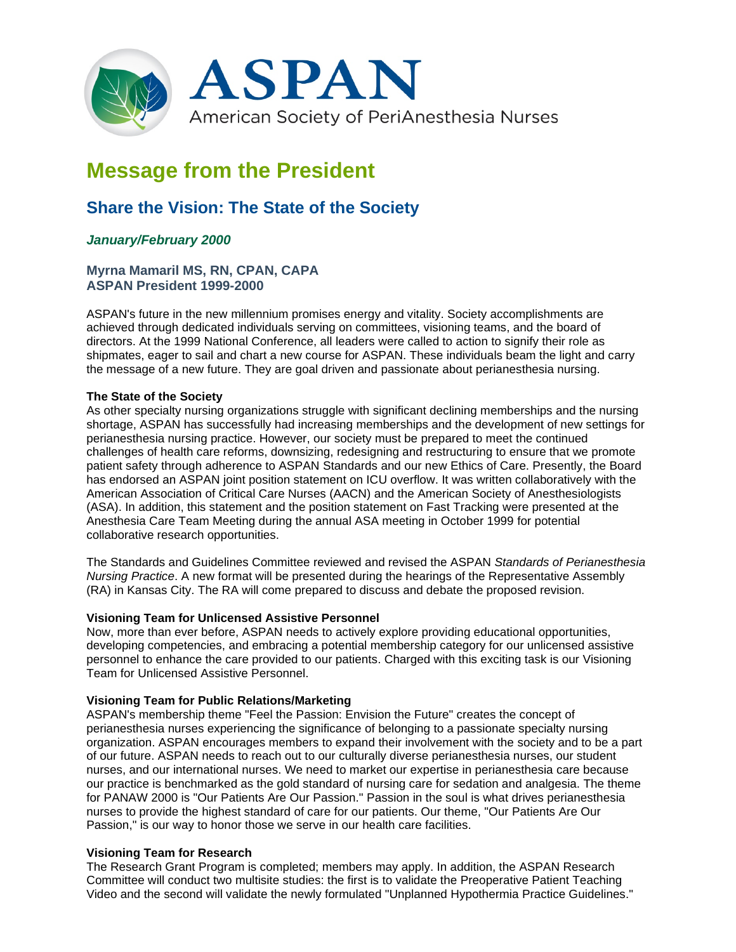

# **Message from the President**

# **Share the Vision: The State of the Society**

# *January/February 2000*

## **Myrna Mamaril MS, RN, CPAN, CAPA ASPAN President 1999-2000**

ASPAN's future in the new millennium promises energy and vitality. Society accomplishments are achieved through dedicated individuals serving on committees, visioning teams, and the board of directors. At the 1999 National Conference, all leaders were called to action to signify their role as shipmates, eager to sail and chart a new course for ASPAN. These individuals beam the light and carry the message of a new future. They are goal driven and passionate about perianesthesia nursing.

#### **The State of the Society**

As other specialty nursing organizations struggle with significant declining memberships and the nursing shortage, ASPAN has successfully had increasing memberships and the development of new settings for perianesthesia nursing practice. However, our society must be prepared to meet the continued challenges of health care reforms, downsizing, redesigning and restructuring to ensure that we promote patient safety through adherence to ASPAN Standards and our new Ethics of Care. Presently, the Board has endorsed an ASPAN joint position statement on ICU overflow. It was written collaboratively with the American Association of Critical Care Nurses (AACN) and the American Society of Anesthesiologists (ASA). In addition, this statement and the position statement on Fast Tracking were presented at the Anesthesia Care Team Meeting during the annual ASA meeting in October 1999 for potential collaborative research opportunities.

The Standards and Guidelines Committee reviewed and revised the ASPAN *Standards of Perianesthesia Nursing Practice*. A new format will be presented during the hearings of the Representative Assembly (RA) in Kansas City. The RA will come prepared to discuss and debate the proposed revision.

#### **Visioning Team for Unlicensed Assistive Personnel**

Now, more than ever before, ASPAN needs to actively explore providing educational opportunities, developing competencies, and embracing a potential membership category for our unlicensed assistive personnel to enhance the care provided to our patients. Charged with this exciting task is our Visioning Team for Unlicensed Assistive Personnel.

#### **Visioning Team for Public Relations/Marketing**

ASPAN's membership theme "Feel the Passion: Envision the Future" creates the concept of perianesthesia nurses experiencing the significance of belonging to a passionate specialty nursing organization. ASPAN encourages members to expand their involvement with the society and to be a part of our future. ASPAN needs to reach out to our culturally diverse perianesthesia nurses, our student nurses, and our international nurses. We need to market our expertise in perianesthesia care because our practice is benchmarked as the gold standard of nursing care for sedation and analgesia. The theme for PANAW 2000 is "Our Patients Are Our Passion." Passion in the soul is what drives perianesthesia nurses to provide the highest standard of care for our patients. Our theme, "Our Patients Are Our Passion," is our way to honor those we serve in our health care facilities.

## **Visioning Team for Research**

The Research Grant Program is completed; members may apply. In addition, the ASPAN Research Committee will conduct two multisite studies: the first is to validate the Preoperative Patient Teaching Video and the second will validate the newly formulated "Unplanned Hypothermia Practice Guidelines."